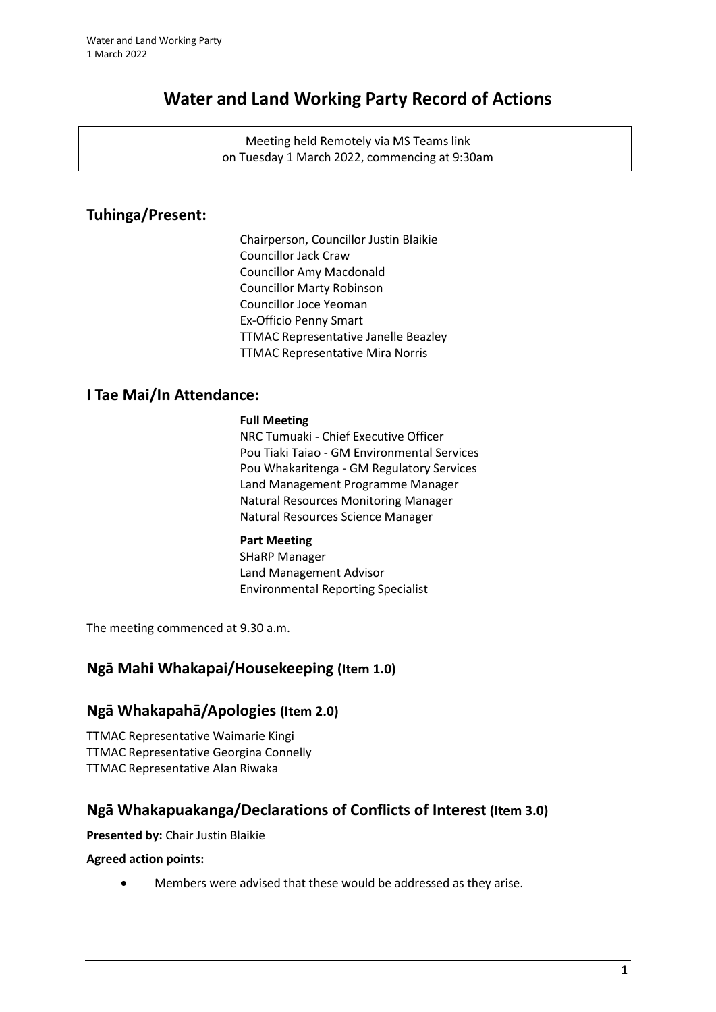# **Water and Land Working Party Record of Actions**

Meeting held Remotely via MS Teams link on Tuesday 1 March 2022, commencing at 9:30am

# **Tuhinga/Present:**

Chairperson, Councillor Justin Blaikie Councillor Jack Craw Councillor Amy Macdonald Councillor Marty Robinson Councillor Joce Yeoman Ex-Officio Penny Smart TTMAC Representative Janelle Beazley TTMAC Representative Mira Norris

### **I Tae Mai/In Attendance:**

#### **Full Meeting**

NRC Tumuaki - Chief Executive Officer Pou Tiaki Taiao - GM Environmental Services Pou Whakaritenga - GM Regulatory Services Land Management Programme Manager Natural Resources Monitoring Manager Natural Resources Science Manager

#### **Part Meeting**

SHaRP Manager Land Management Advisor Environmental Reporting Specialist

The meeting commenced at 9.30 a.m.

# **Ngā Mahi Whakapai/Housekeeping (Item 1.0)**

### **Ngā Whakapahā/Apologies (Item 2.0)**

TTMAC Representative Waimarie Kingi TTMAC Representative Georgina Connelly TTMAC Representative Alan Riwaka

# **Ngā Whakapuakanga/Declarations of Conflicts of Interest (Item 3.0)**

**Presented by:** Chair Justin Blaikie

**Agreed action points:**

• Members were advised that these would be addressed as they arise.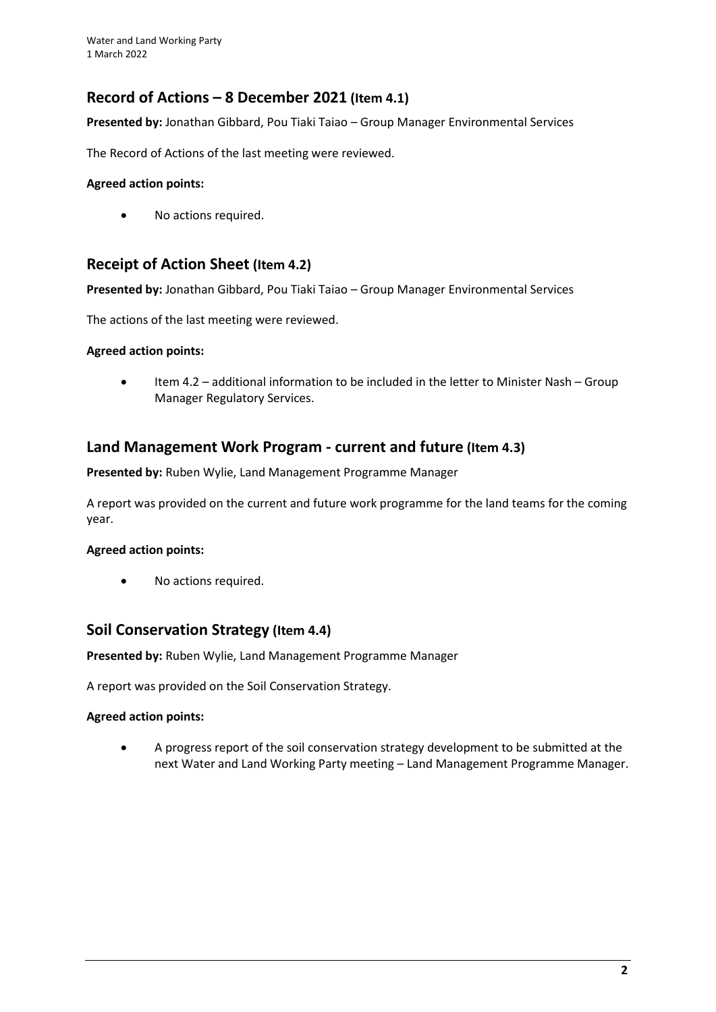# **Record of Actions – 8 December 2021 (Item 4.1)**

**Presented by:** Jonathan Gibbard, Pou Tiaki Taiao – Group Manager Environmental Services

The Record of Actions of the last meeting were reviewed.

#### **Agreed action points:**

• No actions required.

### **Receipt of Action Sheet (Item 4.2)**

**Presented by:** Jonathan Gibbard, Pou Tiaki Taiao – Group Manager Environmental Services

The actions of the last meeting were reviewed.

#### **Agreed action points:**

• Item 4.2 – additional information to be included in the letter to Minister Nash – Group Manager Regulatory Services.

### **Land Management Work Program - current and future (Item 4.3)**

**Presented by:** Ruben Wylie, Land Management Programme Manager

A report was provided on the current and future work programme for the land teams for the coming year.

#### **Agreed action points:**

• No actions required.

### **Soil Conservation Strategy (Item 4.4)**

**Presented by:** Ruben Wylie, Land Management Programme Manager

A report was provided on the Soil Conservation Strategy.

#### **Agreed action points:**

• A progress report of the soil conservation strategy development to be submitted at the next Water and Land Working Party meeting – Land Management Programme Manager.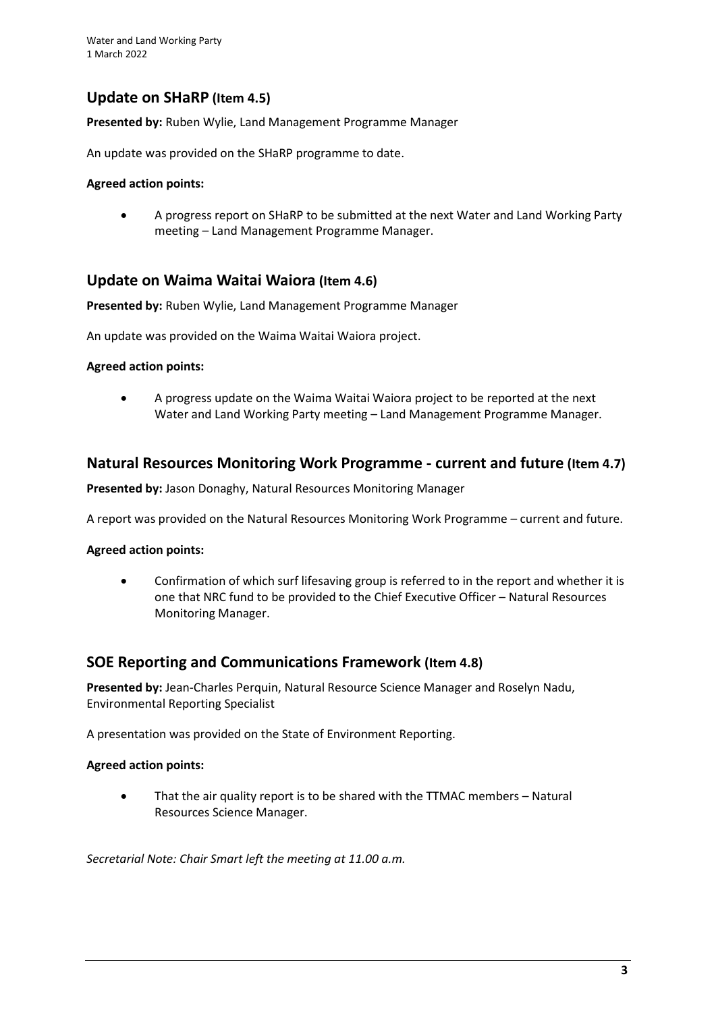# **Update on SHaRP (Item 4.5)**

**Presented by:** Ruben Wylie, Land Management Programme Manager

An update was provided on the SHaRP programme to date.

#### **Agreed action points:**

• A progress report on SHaRP to be submitted at the next Water and Land Working Party meeting – Land Management Programme Manager.

### **Update on Waima Waitai Waiora (Item 4.6)**

**Presented by:** Ruben Wylie, Land Management Programme Manager

An update was provided on the Waima Waitai Waiora project.

#### **Agreed action points:**

• A progress update on the Waima Waitai Waiora project to be reported at the next Water and Land Working Party meeting – Land Management Programme Manager.

### **Natural Resources Monitoring Work Programme - current and future (Item 4.7)**

**Presented by:** Jason Donaghy, Natural Resources Monitoring Manager

A report was provided on the Natural Resources Monitoring Work Programme – current and future.

#### **Agreed action points:**

• Confirmation of which surf lifesaving group is referred to in the report and whether it is one that NRC fund to be provided to the Chief Executive Officer – Natural Resources Monitoring Manager.

### **SOE Reporting and Communications Framework (Item 4.8)**

**Presented by:** Jean-Charles Perquin, Natural Resource Science Manager and Roselyn Nadu, Environmental Reporting Specialist

A presentation was provided on the State of Environment Reporting.

#### **Agreed action points:**

• That the air quality report is to be shared with the TTMAC members – Natural Resources Science Manager.

*Secretarial Note: Chair Smart left the meeting at 11.00 a.m.*